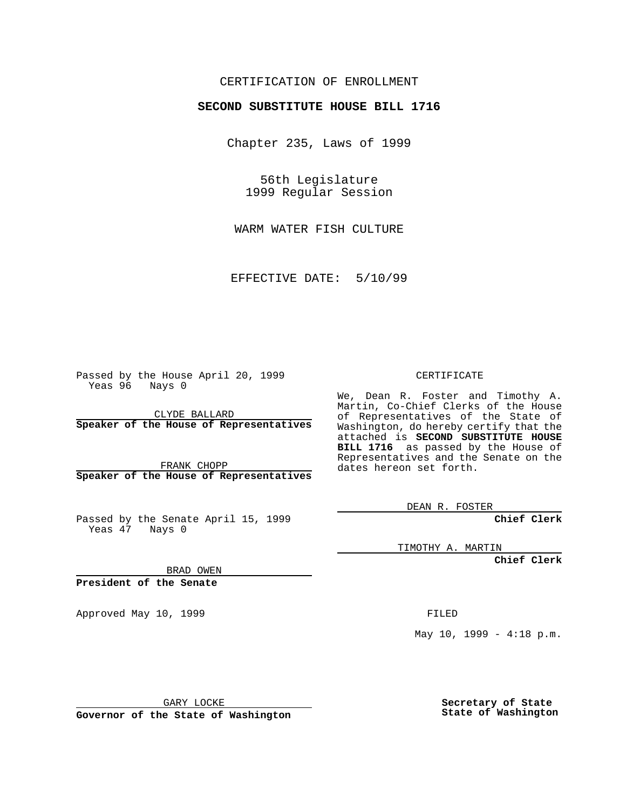#### CERTIFICATION OF ENROLLMENT

# **SECOND SUBSTITUTE HOUSE BILL 1716**

Chapter 235, Laws of 1999

56th Legislature 1999 Regular Session

WARM WATER FISH CULTURE

EFFECTIVE DATE: 5/10/99

Passed by the House April 20, 1999 Yeas 96 Nays 0

CLYDE BALLARD **Speaker of the House of Representatives**

FRANK CHOPP **Speaker of the House of Representatives**

Passed by the Senate April 15, 1999 Yeas 47 Nays 0

CERTIFICATE

We, Dean R. Foster and Timothy A. Martin, Co-Chief Clerks of the House of Representatives of the State of Washington, do hereby certify that the attached is **SECOND SUBSTITUTE HOUSE BILL 1716** as passed by the House of Representatives and the Senate on the dates hereon set forth.

DEAN R. FOSTER

**Chief Clerk**

TIMOTHY A. MARTIN

**Chief Clerk**

BRAD OWEN

**President of the Senate**

Approved May 10, 1999 **FILED** 

May  $10$ ,  $1999 - 4:18$  p.m.

GARY LOCKE

**Governor of the State of Washington**

**Secretary of State State of Washington**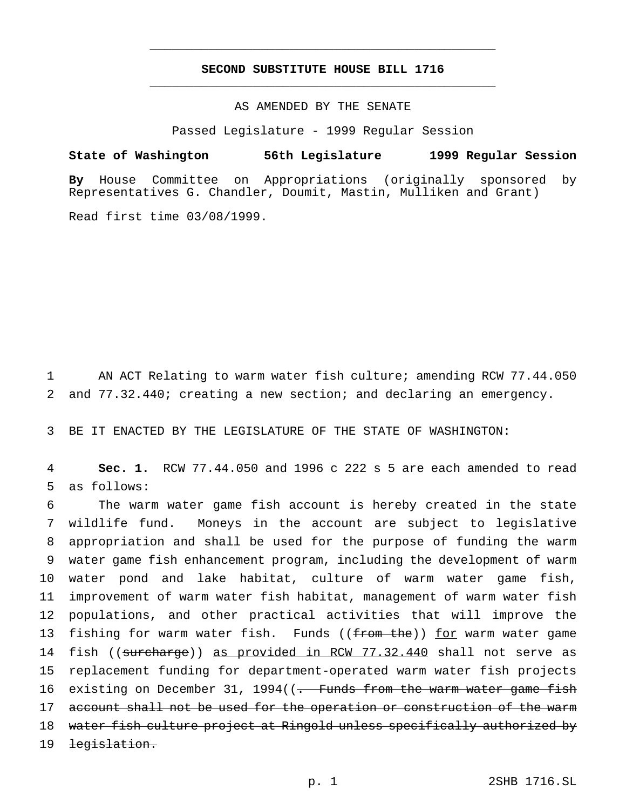#### **SECOND SUBSTITUTE HOUSE BILL 1716** \_\_\_\_\_\_\_\_\_\_\_\_\_\_\_\_\_\_\_\_\_\_\_\_\_\_\_\_\_\_\_\_\_\_\_\_\_\_\_\_\_\_\_\_\_\_\_

\_\_\_\_\_\_\_\_\_\_\_\_\_\_\_\_\_\_\_\_\_\_\_\_\_\_\_\_\_\_\_\_\_\_\_\_\_\_\_\_\_\_\_\_\_\_\_

### AS AMENDED BY THE SENATE

Passed Legislature - 1999 Regular Session

#### **State of Washington 56th Legislature 1999 Regular Session**

**By** House Committee on Appropriations (originally sponsored by Representatives G. Chandler, Doumit, Mastin, Mulliken and Grant)

Read first time 03/08/1999.

1 AN ACT Relating to warm water fish culture; amending RCW 77.44.050 2 and 77.32.440; creating a new section; and declaring an emergency.

3 BE IT ENACTED BY THE LEGISLATURE OF THE STATE OF WASHINGTON:

4 **Sec. 1.** RCW 77.44.050 and 1996 c 222 s 5 are each amended to read 5 as follows:

 The warm water game fish account is hereby created in the state wildlife fund. Moneys in the account are subject to legislative appropriation and shall be used for the purpose of funding the warm water game fish enhancement program, including the development of warm water pond and lake habitat, culture of warm water game fish, improvement of warm water fish habitat, management of warm water fish populations, and other practical activities that will improve the 13 fishing for warm water fish. Funds ((from the)) for warm water game 14 fish ((surcharge)) as provided in RCW 77.32.440 shall not serve as replacement funding for department-operated warm water fish projects 16 existing on December 31, 1994((<del>. Funds from the warm water game fish</del> 17 account shall not be used for the operation or construction of the warm water fish culture project at Ringold unless specifically authorized by 19 <del>legislation.</del>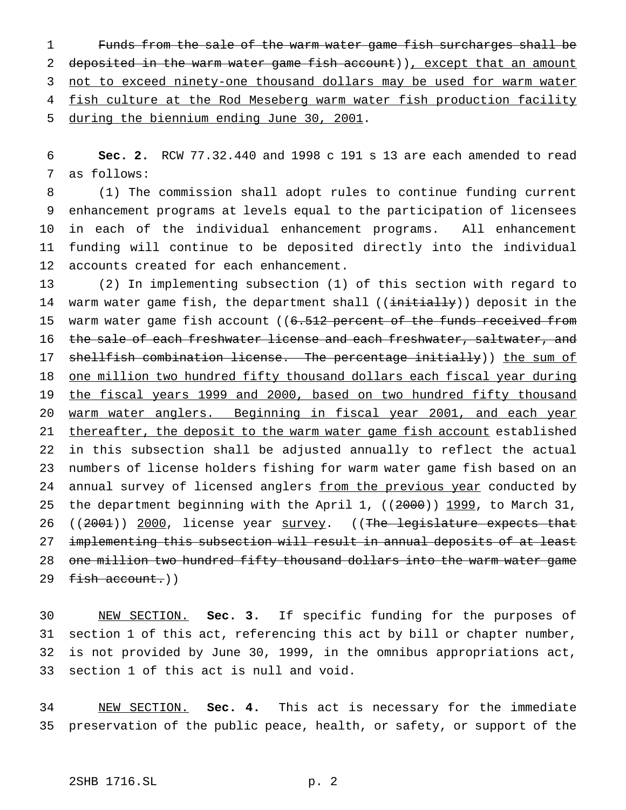1 Funds from the sale of the warm water game fish surcharges shall be 2 deposited in the warm water game fish account)), except that an amount 3 not to exceed ninety-one thousand dollars may be used for warm water 4 fish culture at the Rod Meseberg warm water fish production facility 5 during the biennium ending June 30, 2001.

6 **Sec. 2.** RCW 77.32.440 and 1998 c 191 s 13 are each amended to read 7 as follows:

 (1) The commission shall adopt rules to continue funding current enhancement programs at levels equal to the participation of licensees in each of the individual enhancement programs. All enhancement funding will continue to be deposited directly into the individual accounts created for each enhancement.

13 (2) In implementing subsection (1) of this section with regard to 14 warm water game fish, the department shall ((initially)) deposit in the 15 warm water game fish account ((6.512 percent of the funds received from 16 the sale of each freshwater license and each freshwater, saltwater, and 17 shellfish combination license. The percentage initially)) the sum of 18 one million two hundred fifty thousand dollars each fiscal year during 19 the fiscal years 1999 and 2000, based on two hundred fifty thousand 20 warm water anglers. Beginning in fiscal year 2001, and each year 21 thereafter, the deposit to the warm water game fish account established 22 in this subsection shall be adjusted annually to reflect the actual 23 numbers of license holders fishing for warm water game fish based on an 24 annual survey of licensed anglers from the previous year conducted by 25 the department beginning with the April 1, ((2000)) 1999, to March 31, 26 ((2001)) 2000, license year survey. ((The legislature expects that 27 implementing this subsection will result in annual deposits of at least 28 one million two hundred fifty thousand dollars into the warm water game 29 fish account.))

 NEW SECTION. **Sec. 3.** If specific funding for the purposes of section 1 of this act, referencing this act by bill or chapter number, is not provided by June 30, 1999, in the omnibus appropriations act, section 1 of this act is null and void.

34 NEW SECTION. **Sec. 4.** This act is necessary for the immediate 35 preservation of the public peace, health, or safety, or support of the

## 2SHB 1716.SL p. 2